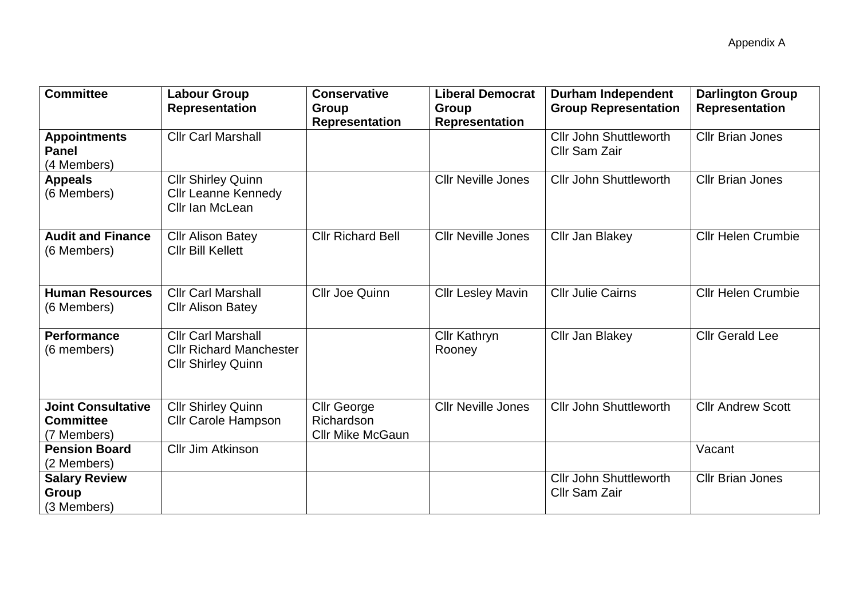| <b>Committee</b>                                             | <b>Labour Group</b><br><b>Representation</b>                                             | <b>Conservative</b><br>Group                                | <b>Liberal Democrat</b><br>Group | <b>Durham Independent</b><br><b>Group Representation</b> | <b>Darlington Group</b><br><b>Representation</b> |
|--------------------------------------------------------------|------------------------------------------------------------------------------------------|-------------------------------------------------------------|----------------------------------|----------------------------------------------------------|--------------------------------------------------|
|                                                              |                                                                                          | <b>Representation</b>                                       | Representation                   |                                                          |                                                  |
| <b>Appointments</b><br><b>Panel</b><br>(4 Members)           | <b>Cllr Carl Marshall</b>                                                                |                                                             |                                  | <b>Cllr John Shuttleworth</b><br>Cllr Sam Zair           | <b>Cllr Brian Jones</b>                          |
| <b>Appeals</b><br>(6 Members)                                | <b>Cllr Shirley Quinn</b><br><b>Cllr Leanne Kennedy</b><br>Cllr Ian McLean               |                                                             | <b>Cllr Neville Jones</b>        | <b>Cllr John Shuttleworth</b>                            | <b>CIIr Brian Jones</b>                          |
| <b>Audit and Finance</b><br>(6 Members)                      | <b>Cllr Alison Batey</b><br><b>Cllr Bill Kellett</b>                                     | <b>Cllr Richard Bell</b>                                    | <b>Cllr Neville Jones</b>        | Cllr Jan Blakey                                          | <b>Cllr Helen Crumbie</b>                        |
| <b>Human Resources</b><br>(6 Members)                        | <b>Cllr Carl Marshall</b><br><b>Cllr Alison Batey</b>                                    | <b>Cllr Joe Quinn</b>                                       | <b>Cllr Lesley Mavin</b>         | <b>Cllr Julie Cairns</b>                                 | <b>Cllr Helen Crumbie</b>                        |
| <b>Performance</b><br>(6 members)                            | <b>Cllr Carl Marshall</b><br><b>Cllr Richard Manchester</b><br><b>Cllr Shirley Quinn</b> |                                                             | <b>Cllr Kathryn</b><br>Rooney    | Cllr Jan Blakey                                          | <b>Cllr Gerald Lee</b>                           |
| <b>Joint Consultative</b><br><b>Committee</b><br>(7 Members) | <b>Cllr Shirley Quinn</b><br><b>Cllr Carole Hampson</b>                                  | <b>Cllr George</b><br>Richardson<br><b>Cllr Mike McGaun</b> | <b>Cllr Neville Jones</b>        | <b>Cllr John Shuttleworth</b>                            | <b>Cllr Andrew Scott</b>                         |
| <b>Pension Board</b><br>(2 Members)                          | <b>Cllr Jim Atkinson</b>                                                                 |                                                             |                                  |                                                          | Vacant                                           |
| <b>Salary Review</b><br>Group<br>(3 Members)                 |                                                                                          |                                                             |                                  | <b>Cllr John Shuttleworth</b><br><b>Cllr Sam Zair</b>    | <b>Cllr Brian Jones</b>                          |